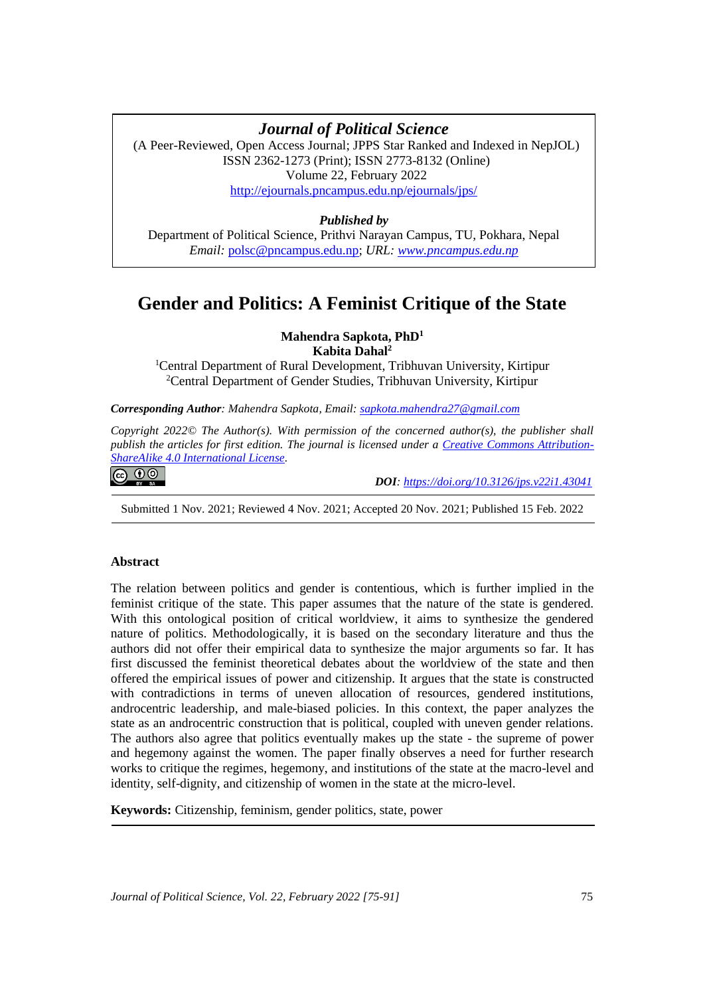# **Gender and Politics: A Feminist Critique of the State** *Journal of Political Science*

(A Peer-Reviewed, Open Access Journal; JPPS Star Ranked and Indexed in NepJOL) ISSN 2362-1273 (Print); ISSN 2773-8132 (Online) Volume 22, February 2022 <http://ejournals.pncampus.edu.np/ejournals/jps/>

# *Published by*

Department of Political Science, Prithvi Narayan Campus, TU, Pokhara, Nepal *Email:* [polsc@pncampus.edu.np;](mailto:polsc@pncampus.edu.np) *URL: [www.pncampus.edu.np](http://www.pncampus.edu.np/)*

# **Gender and Politics: A Feminist Critique of the State**

# **Mahendra Sapkota, PhD<sup>1</sup> Kabita Dahal<sup>2</sup>**

<sup>1</sup>Central Department of Rural Development, Tribhuvan University, Kirtipur <sup>2</sup>Central Department of Gender Studies, Tribhuvan University, Kirtipur

*Corresponding Author: Mahendra Sapkota, Email: [sapkota.mahendra27@gmail.com](mailto:sapkota.mahendra27@gmail.com)*

*Copyright 2022© The Author(s). With permission of the concerned author(s), the publisher shall publish the articles for first edition. The journal is licensed under a [Creative Commons Attribution-](https://creativecommons.org/licenses/by-sa/4.0/)[ShareAlike 4.0 International License.](https://creativecommons.org/licenses/by-sa/4.0/)*

ெ 00

 *DOI: <https://doi.org/10.3126/jps.v22i1.43041>*

Submitted 1 Nov. 2021; Reviewed 4 Nov. 2021; Accepted 20 Nov. 2021; Published 15 Feb. 2022

# **Abstract**

The relation between politics and gender is contentious, which is further implied in the feminist critique of the state. This paper assumes that the nature of the state is gendered. With this ontological position of critical worldview, it aims to synthesize the gendered nature of politics. Methodologically, it is based on the secondary literature and thus the authors did not offer their empirical data to synthesize the major arguments so far. It has first discussed the feminist theoretical debates about the worldview of the state and then offered the empirical issues of power and citizenship. It argues that the state is constructed with contradictions in terms of uneven allocation of resources, gendered institutions, androcentric leadership, and male-biased policies. In this context, the paper analyzes the state as an androcentric construction that is political, coupled with uneven gender relations. The authors also agree that politics eventually makes up the state - the supreme of power and hegemony against the women. The paper finally observes a need for further research works to critique the regimes, hegemony, and institutions of the state at the macro-level and identity, self-dignity, and citizenship of women in the state at the micro-level.

**Keywords:** Citizenship, feminism, gender politics, state, power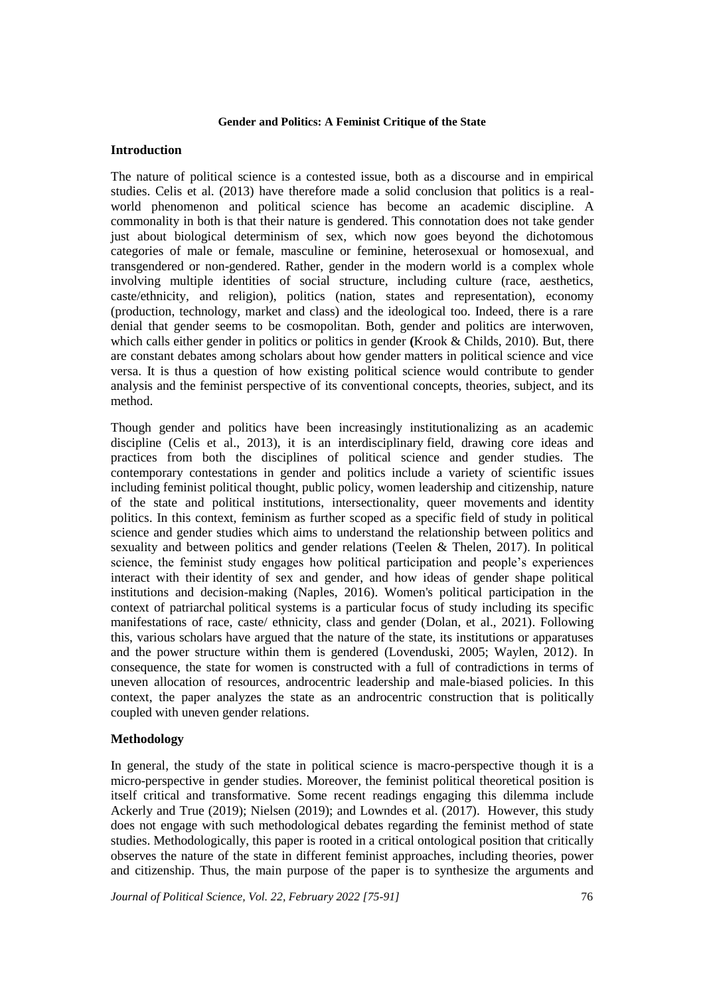# **Introduction**

The nature of political science is a contested issue, both as a discourse and in empirical studies. Celis et al. (2013) have therefore made a solid conclusion that politics is a realworld phenomenon and political science has become an academic discipline. A commonality in both is that their nature is gendered. This connotation does not take gender just about biological determinism of sex, which now goes beyond the dichotomous categories of male or female, masculine or feminine, heterosexual or homosexual, and transgendered or non-gendered. Rather, gender in the modern world is a complex whole involving multiple identities of social structure, including culture (race, aesthetics, caste/ethnicity, and religion), politics (nation, states and representation), economy (production, technology, market and class) and the ideological too. Indeed, there is a rare denial that gender seems to be cosmopolitan. Both, gender and politics are interwoven, which calls either gender in politics or politics in gender **(**Krook & Childs, 2010). But, there are constant debates among scholars about how gender matters in political science and vice versa. It is thus a question of how existing political science would contribute to gender analysis and the feminist perspective of its conventional concepts, theories, subject, and its method.

Though gender and politics have been increasingly institutionalizing as an academic discipline (Celis et al., 2013), it is an interdisciplinary field, drawing core ideas and practices from both the disciplines of political science and gender studies. The contemporary contestations in gender and politics include a variety of scientific issues including feminist political thought, public policy, women leadership and citizenship, nature of the state and political institutions, intersectionality, queer movements and identity politics. In this context, feminism as further scoped as a specific field of study in political science and gender studies which aims to understand the relationship between politics and sexuality and between politics and gender relations (Teelen & Thelen, 2017). In political science, the feminist study engages how political participation and people's experiences interact with their identity of sex and gender, and how ideas of gender shape political institutions and decision-making (Naples, 2016). Women's political participation in the context of patriarchal political systems is a particular focus of study including its specific manifestations of race, caste/ ethnicity, class and gender (Dolan, et al., 2021). Following this, various scholars have argued that the nature of the state, its institutions or apparatuses and the power structure within them is gendered (Lovenduski, 2005; Waylen, 2012). In consequence, the state for women is constructed with a full of contradictions in terms of uneven allocation of resources, androcentric leadership and male-biased policies. In this context, the paper analyzes the state as an androcentric construction that is politically coupled with uneven gender relations.

# **Methodology**

In general, the study of the state in political science is macro-perspective though it is a micro-perspective in gender studies. Moreover, the feminist political theoretical position is itself critical and transformative. Some recent readings engaging this dilemma include Ackerly and True (2019); Nielsen (2019); and Lowndes et al. (2017). However, this study does not engage with such methodological debates regarding the feminist method of state studies. Methodologically, this paper is rooted in a critical ontological position that critically observes the nature of the state in different feminist approaches, including theories, power and citizenship. Thus, the main purpose of the paper is to synthesize the arguments and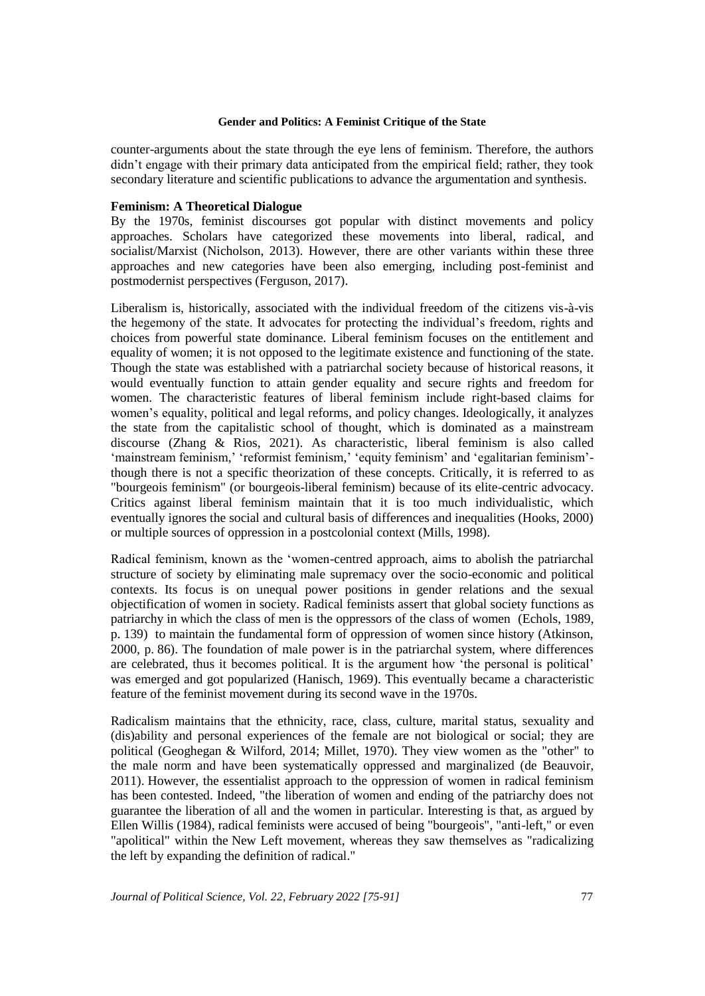counter-arguments about the state through the eye lens of feminism. Therefore, the authors didn't engage with their primary data anticipated from the empirical field; rather, they took secondary literature and scientific publications to advance the argumentation and synthesis.

# **Feminism: A Theoretical Dialogue**

By the 1970s, feminist discourses got popular with distinct movements and policy approaches. Scholars have categorized these movements into liberal, radical, and socialist/Marxist (Nicholson, 2013). However, there are other variants within these three approaches and new categories have been also emerging, including post-feminist and postmodernist perspectives (Ferguson, 2017).

Liberalism is, historically, associated with the individual freedom of the citizens vis-à-vis the hegemony of the state. It advocates for protecting the individual's freedom, rights and choices from powerful state dominance. Liberal feminism focuses on the entitlement and equality of women; it is not opposed to the legitimate existence and functioning of the state. Though the state was established with a patriarchal society because of historical reasons, it would eventually function to attain gender equality and secure rights and freedom for women. The characteristic features of liberal feminism include right-based claims for women's equality, political and legal reforms, and policy changes. Ideologically, it analyzes the state from the capitalistic school of thought, which is dominated as a mainstream discourse (Zhang & Rios, 2021). As characteristic, liberal feminism is also called 'mainstream feminism,' 'reformist feminism,' 'equity feminism' and 'egalitarian feminism' though there is not a specific theorization of these concepts. Critically, it is referred to as "bourgeois feminism" (or bourgeois-liberal feminism) because of its elite-centric advocacy. Critics against liberal feminism maintain that it is too much individualistic, which eventually ignores the social and cultural basis of differences and inequalities (Hooks, 2000) or multiple sources of oppression in a postcolonial context (Mills, 1998).

Radical feminism, known as the 'women-centred approach, aims to abolish the patriarchal structure of society by eliminating male supremacy over the socio-economic and political contexts. Its focus is on unequal power positions in gender relations and the sexual objectification of women in society. Radical feminists assert that global society functions as patriarchy in which the class of men is the oppressors of the class of women (Echols, 1989, p. 139) to maintain the fundamental form of oppression of women since history (Atkinson, 2000, p. 86). The foundation of male power is in the patriarchal system, where differences are celebrated, thus it becomes political. It is the argument how 'the personal is political' was emerged and got popularized (Hanisch, 1969). This eventually became a characteristic feature of the feminist movement during its second wave in the 1970s.

Radicalism maintains that the ethnicity, race, class, culture, marital status, sexuality and (dis)ability and personal experiences of the female are not biological or social; they are political (Geoghegan & Wilford, 2014; Millet, 1970). They view women as the "other" to the male norm and have been systematically oppressed and marginalized (de Beauvoir, 2011). However, the essentialist approach to the oppression of women in radical feminism has been contested. Indeed, "the liberation of women and ending of the patriarchy does not guarantee the liberation of all and the women in particular. Interesting is that, as argued by Ellen Willis (1984), radical feminists were accused of being "bourgeois", "anti-left," or even "apolitical" within the New Left movement, whereas they saw themselves as "radicalizing the left by expanding the definition of radical."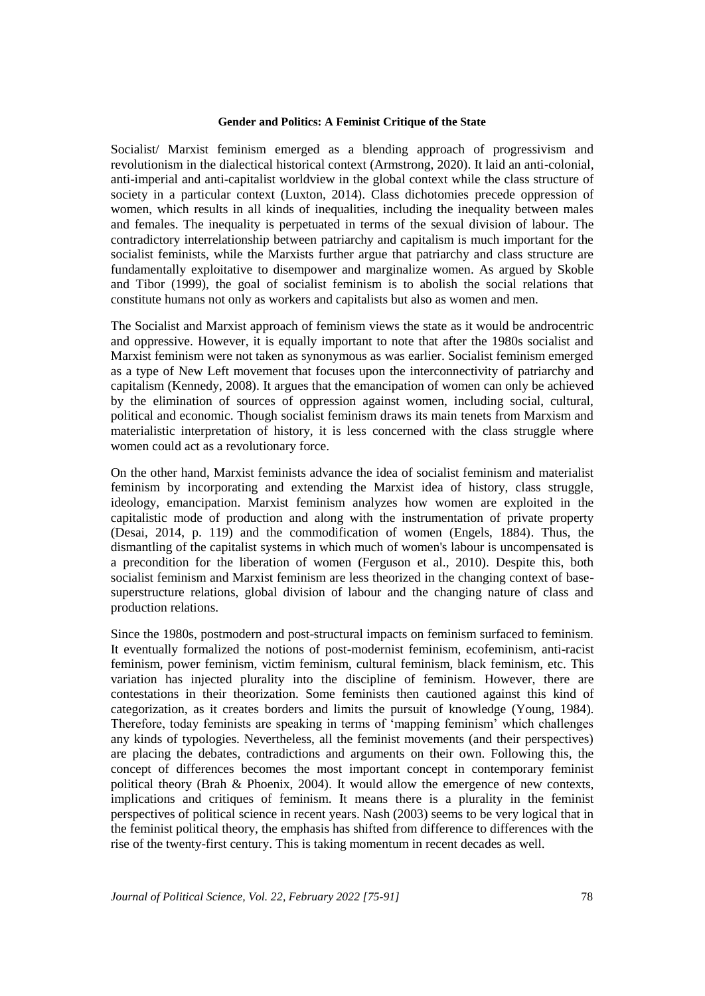Socialist/ Marxist feminism emerged as a blending approach of progressivism and revolutionism in the dialectical historical context (Armstrong, 2020). It laid an anti-colonial, anti-imperial and anti-capitalist worldview in the global context while the class structure of society in a particular context (Luxton, 2014). Class dichotomies precede oppression of women, which results in all kinds of inequalities, including the inequality between males and females. The inequality is perpetuated in terms of the sexual division of labour. The contradictory interrelationship between patriarchy and capitalism is much important for the socialist feminists, while the Marxists further argue that patriarchy and class structure are fundamentally exploitative to disempower and marginalize women. As argued by Skoble and Tibor (1999), the goal of socialist feminism is to abolish the social relations that constitute humans not only as workers and capitalists but also as women and men.

The Socialist and Marxist approach of feminism views the state as it would be androcentric and oppressive. However, it is equally important to note that after the 1980s socialist and Marxist feminism were not taken as synonymous as was earlier. Socialist feminism emerged as a type of New Left movement that focuses upon the interconnectivity of patriarchy and capitalism (Kennedy, 2008). It argues that the emancipation of women can only be achieved by the elimination of sources of oppression against women, including social, cultural, political and economic. Though socialist feminism draws its main tenets from Marxism and materialistic interpretation of history, it is less concerned with the class struggle where women could act as a revolutionary force.

On the other hand, Marxist feminists advance the idea of socialist feminism and materialist feminism by incorporating and extending the Marxist idea of history, class struggle, ideology, emancipation. Marxist feminism analyzes how women are exploited in the capitalistic mode of production and along with the instrumentation of private property (Desai, 2014, p. 119) and the commodification of women (Engels, 1884). Thus, the dismantling of the capitalist systems in which much of women's labour is uncompensated is a precondition for the liberation of women (Ferguson et al., 2010). Despite this, both socialist feminism and Marxist feminism are less theorized in the changing context of basesuperstructure relations, global division of labour and the changing nature of class and production relations.

Since the 1980s, postmodern and post-structural impacts on feminism surfaced to feminism. It eventually formalized the notions of post-modernist feminism, ecofeminism, anti-racist feminism, power feminism, victim feminism, cultural feminism, black feminism, etc. This variation has injected plurality into the discipline of feminism. However, there are contestations in their theorization. Some feminists then cautioned against this kind of categorization, as it creates borders and limits the pursuit of knowledge (Young, 1984). Therefore, today feminists are speaking in terms of 'mapping feminism' which challenges any kinds of typologies. Nevertheless, all the feminist movements (and their perspectives) are placing the debates, contradictions and arguments on their own. Following this, the concept of differences becomes the most important concept in contemporary feminist political theory (Brah & Phoenix, 2004). It would allow the emergence of new contexts, implications and critiques of feminism. It means there is a plurality in the feminist perspectives of political science in recent years. Nash (2003) seems to be very logical that in the feminist political theory, the emphasis has shifted from difference to differences with the rise of the twenty-first century. This is taking momentum in recent decades as well.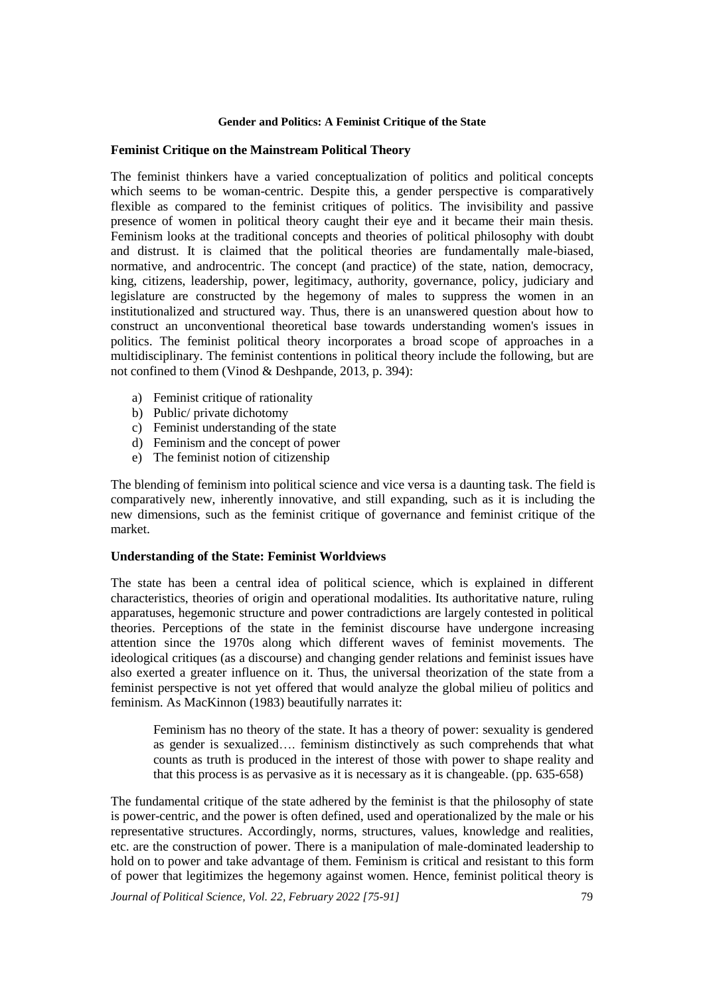# **Feminist Critique on the Mainstream Political Theory**

The feminist thinkers have a varied conceptualization of politics and political concepts which seems to be woman-centric. Despite this, a gender perspective is comparatively flexible as compared to the feminist critiques of politics. The invisibility and passive presence of women in political theory caught their eye and it became their main thesis. Feminism looks at the traditional concepts and theories of political philosophy with doubt and distrust. It is claimed that the political theories are fundamentally male-biased, normative, and androcentric. The concept (and practice) of the state, nation, democracy, king, citizens, leadership, power, legitimacy, authority, governance, policy, judiciary and legislature are constructed by the hegemony of males to suppress the women in an institutionalized and structured way. Thus, there is an unanswered question about how to construct an unconventional theoretical base towards understanding women's issues in politics. The feminist political theory incorporates a broad scope of approaches in a multidisciplinary. The feminist contentions in political theory include the following, but are not confined to them (Vinod & Deshpande, 2013, p. 394):

- a) Feminist critique of rationality
- b) Public/ private dichotomy
- c) Feminist understanding of the state
- d) Feminism and the concept of power
- e) The feminist notion of citizenship

The blending of feminism into political science and vice versa is a daunting task. The field is comparatively new, inherently innovative, and still expanding, such as it is including the new dimensions, such as the feminist critique of governance and feminist critique of the market.

# **Understanding of the State: Feminist Worldviews**

The state has been a central idea of political science, which is explained in different characteristics, theories of origin and operational modalities. Its authoritative nature, ruling apparatuses, hegemonic structure and power contradictions are largely contested in political theories. Perceptions of the state in the feminist discourse have undergone increasing attention since the 1970s along which different waves of feminist movements. The ideological critiques (as a discourse) and changing gender relations and feminist issues have also exerted a greater influence on it. Thus, the universal theorization of the state from a feminist perspective is not yet offered that would analyze the global milieu of politics and feminism. As MacKinnon (1983) beautifully narrates it:

Feminism has no theory of the state. It has a theory of power: sexuality is gendered as gender is sexualized…. feminism distinctively as such comprehends that what counts as truth is produced in the interest of those with power to shape reality and that this process is as pervasive as it is necessary as it is changeable. (pp. 635-658)

The fundamental critique of the state adhered by the feminist is that the philosophy of state is power-centric, and the power is often defined, used and operationalized by the male or his representative structures. Accordingly, norms, structures, values, knowledge and realities, etc. are the construction of power. There is a manipulation of male-dominated leadership to hold on to power and take advantage of them. Feminism is critical and resistant to this form of power that legitimizes the hegemony against women. Hence, feminist political theory is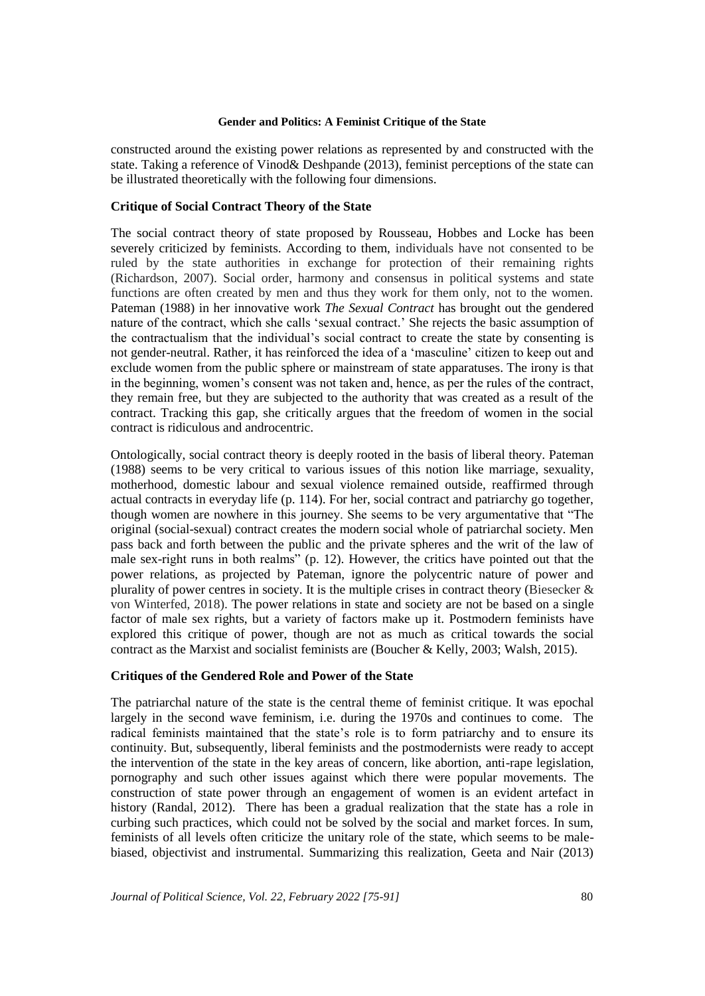constructed around the existing power relations as represented by and constructed with the state. Taking a reference of Vinod& Deshpande (2013), feminist perceptions of the state can be illustrated theoretically with the following four dimensions.

# **Critique of Social Contract Theory of the State**

The social contract theory of state proposed by Rousseau, Hobbes and Locke has been severely criticized by feminists. According to them, individuals have not consented to be ruled by the state authorities in exchange for protection of their remaining rights (Richardson, 2007). Social order, harmony and consensus in political systems and state functions are often created by men and thus they work for them only, not to the women. Pateman (1988) in her innovative work *The Sexual Contract* has brought out the gendered nature of the contract, which she calls 'sexual contract.' She rejects the basic assumption of the contractualism that the individual's social contract to create the state by consenting is not gender-neutral. Rather, it has reinforced the idea of a 'masculine' citizen to keep out and exclude women from the public sphere or mainstream of state apparatuses. The irony is that in the beginning, women's consent was not taken and, hence, as per the rules of the contract, they remain free, but they are subjected to the authority that was created as a result of the contract. Tracking this gap, she critically argues that the freedom of women in the social contract is ridiculous and androcentric.

Ontologically, social contract theory is deeply rooted in the basis of liberal theory. Pateman (1988) seems to be very critical to various issues of this notion like marriage, sexuality, motherhood, domestic labour and sexual violence remained outside, reaffirmed through actual contracts in everyday life (p. 114). For her, social contract and patriarchy go together, though women are nowhere in this journey. She seems to be very argumentative that "The original (social-sexual) contract creates the modern social whole of patriarchal society. Men pass back and forth between the public and the private spheres and the writ of the law of male sex-right runs in both realms" (p. 12). However, the critics have pointed out that the power relations, as projected by Pateman, ignore the polycentric nature of power and plurality of power centres in society. It is the multiple crises in contract theory (Biesecker  $\&$ von Winterfed, 2018). The power relations in state and society are not be based on a single factor of male sex rights, but a variety of factors make up it. Postmodern feminists have explored this critique of power, though are not as much as critical towards the social contract as the Marxist and socialist feminists are (Boucher & Kelly, 2003; Walsh, 2015).

# **Critiques of the Gendered Role and Power of the State**

The patriarchal nature of the state is the central theme of feminist critique. It was epochal largely in the second wave feminism, i.e. during the 1970s and continues to come. The radical feminists maintained that the state's role is to form patriarchy and to ensure its continuity. But, subsequently, liberal feminists and the postmodernists were ready to accept the intervention of the state in the key areas of concern, like abortion, anti-rape legislation, pornography and such other issues against which there were popular movements. The construction of state power through an engagement of women is an evident artefact in history (Randal, 2012). There has been a gradual realization that the state has a role in curbing such practices, which could not be solved by the social and market forces. In sum, feminists of all levels often criticize the unitary role of the state, which seems to be malebiased, objectivist and instrumental. Summarizing this realization, Geeta and Nair (2013)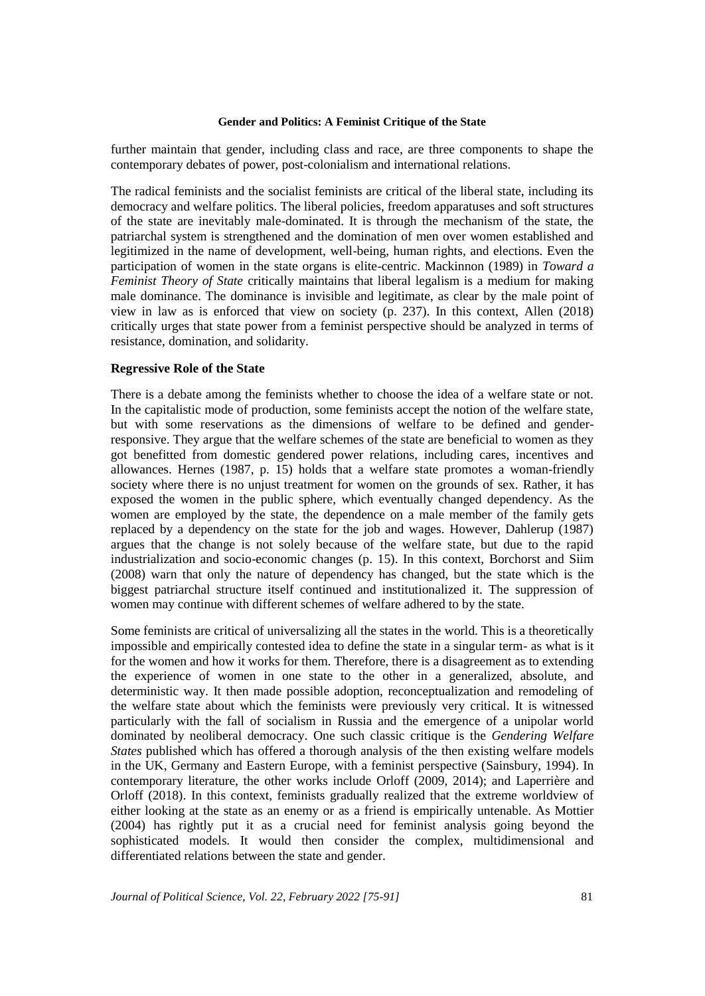further maintain that gender, including class and race, are three components to shape the contemporary debates of power, post-colonialism and international relations.

The radical feminists and the socialist feminists are critical of the liberal state, including its democracy and welfare politics. The liberal policies, freedom apparatuses and soft structures of the state are inevitably male-dominated. It is through the mechanism of the state, the patriarchal system is strengthened and the domination of men over women established and legitimized in the name of development, well-being, human rights, and elections. Even the participation of women in the state organs is elite-centric. Mackinnon (1989) in *Toward a Feminist Theory of State* critically maintains that liberal legalism is a medium for making male dominance. The dominance is invisible and legitimate, as clear by the male point of view in law as is enforced that view on society (p. 237). In this context, Allen (2018) critically urges that state power from a feminist perspective should be analyzed in terms of resistance, domination, and solidarity.

#### **Regressive Role of the State**

There is a debate among the feminists whether to choose the idea of a welfare state or not. In the capitalistic mode of production, some feminists accept the notion of the welfare state, but with some reservations as the dimensions of welfare to be defined and genderresponsive. They argue that the welfare schemes of the state are beneficial to women as they got benefitted from domestic gendered power relations, including cares, incentives and allowances. Hernes (1987, p. 15) holds that a welfare state promotes a woman-friendly society where there is no unjust treatment for women on the grounds of sex. Rather, it has exposed the women in the public sphere, which eventually changed dependency. As the women are employed by the state, the dependence on a male member of the family gets replaced by a dependency on the state for the job and wages. However, Dahlerup (1987) argues that the change is not solely because of the welfare state, but due to the rapid industrialization and socio-economic changes (p. 15). In this context, Borchorst and Siim (2008) warn that only the nature of dependency has changed, but the state which is the biggest patriarchal structure itself continued and institutionalized it. The suppression of women may continue with different schemes of welfare adhered to by the state.

Some feminists are critical of universalizing all the states in the world. This is a theoretically impossible and empirically contested idea to define the state in a singular term- as what is it for the women and how it works for them. Therefore, there is a disagreement as to extending the experience of women in one state to the other in a generalized, absolute, and deterministic way. It then made possible adoption, reconceptualization and remodeling of the welfare state about which the feminists were previously very critical. It is witnessed particularly with the fall of socialism in Russia and the emergence of a unipolar world dominated by neoliberal democracy. One such classic critique is the *Gendering Welfare States* published which has offered a thorough analysis of the then existing welfare models in the UK, Germany and Eastern Europe, with a feminist perspective (Sainsbury, 1994). In contemporary literature, the other works include Orloff (2009, 2014); and Laperrière and Orloff (2018). In this context, feminists gradually realized that the extreme worldview of either looking at the state as an enemy or as a friend is empirically untenable. As Mottier (2004) has rightly put it as a crucial need for feminist analysis going beyond the sophisticated models. It would then consider the complex, multidimensional and differentiated relations between the state and gender.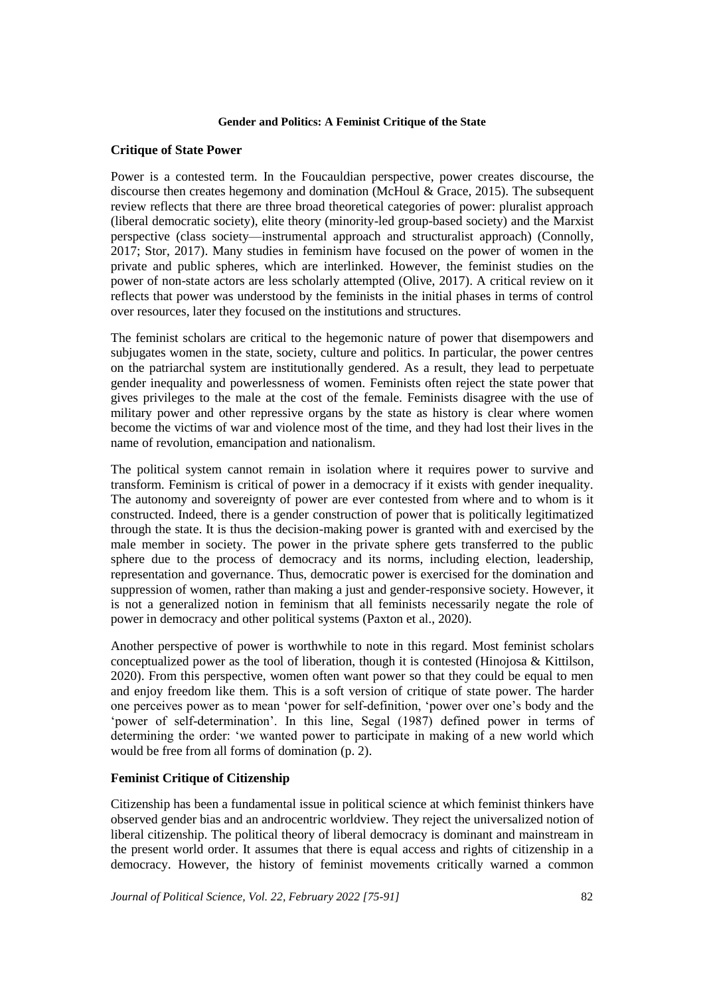# **Critique of State Power**

Power is a contested term. In the Foucauldian perspective, power creates discourse, the discourse then creates hegemony and domination (McHoul & Grace, 2015). The subsequent review reflects that there are three broad theoretical categories of power: pluralist approach (liberal democratic society), elite theory (minority-led group-based society) and the Marxist perspective (class society—instrumental approach and structuralist approach) (Connolly, 2017; Stor, 2017). Many studies in feminism have focused on the power of women in the private and public spheres, which are interlinked. However, the feminist studies on the power of non-state actors are less scholarly attempted (Olive, 2017). A critical review on it reflects that power was understood by the feminists in the initial phases in terms of control over resources, later they focused on the institutions and structures.

The feminist scholars are critical to the hegemonic nature of power that disempowers and subjugates women in the state, society, culture and politics. In particular, the power centres on the patriarchal system are institutionally gendered. As a result, they lead to perpetuate gender inequality and powerlessness of women. Feminists often reject the state power that gives privileges to the male at the cost of the female. Feminists disagree with the use of military power and other repressive organs by the state as history is clear where women become the victims of war and violence most of the time, and they had lost their lives in the name of revolution, emancipation and nationalism.

The political system cannot remain in isolation where it requires power to survive and transform. Feminism is critical of power in a democracy if it exists with gender inequality. The autonomy and sovereignty of power are ever contested from where and to whom is it constructed. Indeed, there is a gender construction of power that is politically legitimatized through the state. It is thus the decision-making power is granted with and exercised by the male member in society. The power in the private sphere gets transferred to the public sphere due to the process of democracy and its norms, including election, leadership, representation and governance. Thus, democratic power is exercised for the domination and suppression of women, rather than making a just and gender-responsive society. However, it is not a generalized notion in feminism that all feminists necessarily negate the role of power in democracy and other political systems (Paxton et al., 2020).

Another perspective of power is worthwhile to note in this regard. Most feminist scholars conceptualized power as the tool of liberation, though it is contested (Hinojosa & Kittilson, 2020). From this perspective, women often want power so that they could be equal to men and enjoy freedom like them. This is a soft version of critique of state power. The harder one perceives power as to mean 'power for self-definition, 'power over one's body and the 'power of self-determination'. In this line, Segal (1987) defined power in terms of determining the order: 'we wanted power to participate in making of a new world which would be free from all forms of domination (p. 2).

# **Feminist Critique of Citizenship**

Citizenship has been a fundamental issue in political science at which feminist thinkers have observed gender bias and an androcentric worldview. They reject the universalized notion of liberal citizenship. The political theory of liberal democracy is dominant and mainstream in the present world order. It assumes that there is equal access and rights of citizenship in a democracy. However, the history of feminist movements critically warned a common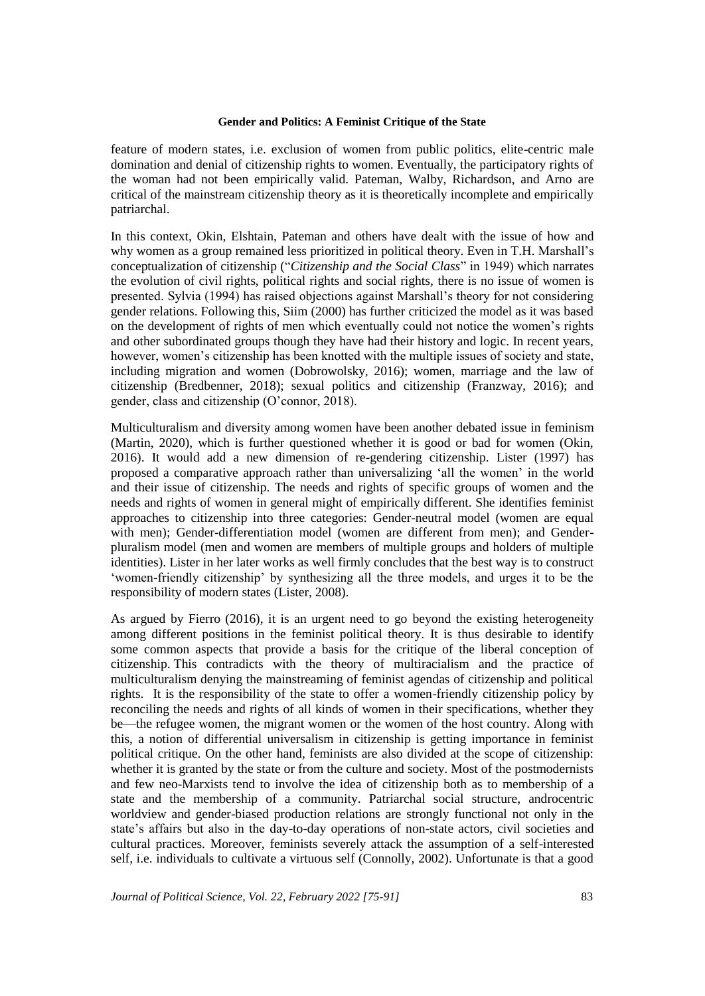feature of modern states, i.e. exclusion of women from public politics, elite-centric male domination and denial of citizenship rights to women. Eventually, the participatory rights of the woman had not been empirically valid. Pateman, Walby, Richardson, and Arno are critical of the mainstream citizenship theory as it is theoretically incomplete and empirically patriarchal.

In this context, Okin, Elshtain, Pateman and others have dealt with the issue of how and why women as a group remained less prioritized in political theory. Even in T.H. Marshall's conceptualization of citizenship ("*Citizenship and the Social Class*" in 1949) which narrates the evolution of civil rights, political rights and social rights, there is no issue of women is presented. Sylvia (1994) has raised objections against Marshall's theory for not considering gender relations. Following this, Siim (2000) has further criticized the model as it was based on the development of rights of men which eventually could not notice the women's rights and other subordinated groups though they have had their history and logic. In recent years, however, women's citizenship has been knotted with the multiple issues of society and state, including migration and women (Dobrowolsky, 2016); women, marriage and the law of citizenship (Bredbenner, 2018); sexual politics and citizenship (Franzway, 2016); and gender, class and citizenship (O'connor, 2018).

Multiculturalism and diversity among women have been another debated issue in feminism (Martin, 2020), which is further questioned whether it is good or bad for women (Okin, 2016). It would add a new dimension of re-gendering citizenship. Lister (1997) has proposed a comparative approach rather than universalizing 'all the women' in the world and their issue of citizenship. The needs and rights of specific groups of women and the needs and rights of women in general might of empirically different. She identifies feminist approaches to citizenship into three categories: Gender-neutral model (women are equal with men); Gender-differentiation model (women are different from men); and Genderpluralism model (men and women are members of multiple groups and holders of multiple identities). Lister in her later works as well firmly concludes that the best way is to construct 'women-friendly citizenship' by synthesizing all the three models, and urges it to be the responsibility of modern states (Lister, 2008).

As argued by Fierro (2016), it is an urgent need to go beyond the existing heterogeneity among different positions in the feminist political theory. It is thus desirable to identify some common aspects that provide a basis for the critique of the liberal conception of citizenship. This contradicts with the theory of multiracialism and the practice of multiculturalism denying the mainstreaming of feminist agendas of citizenship and political rights. It is the responsibility of the state to offer a women-friendly citizenship policy by reconciling the needs and rights of all kinds of women in their specifications, whether they be—the refugee women, the migrant women or the women of the host country. Along with this, a notion of differential universalism in citizenship is getting importance in feminist political critique. On the other hand, feminists are also divided at the scope of citizenship: whether it is granted by the state or from the culture and society. Most of the postmodernists and few neo-Marxists tend to involve the idea of citizenship both as to membership of a state and the membership of a community. Patriarchal social structure, androcentric worldview and gender-biased production relations are strongly functional not only in the state's affairs but also in the day-to-day operations of non-state actors, civil societies and cultural practices. Moreover, feminists severely attack the assumption of a self-interested self, i.e. individuals to cultivate a virtuous self (Connolly, 2002). Unfortunate is that a good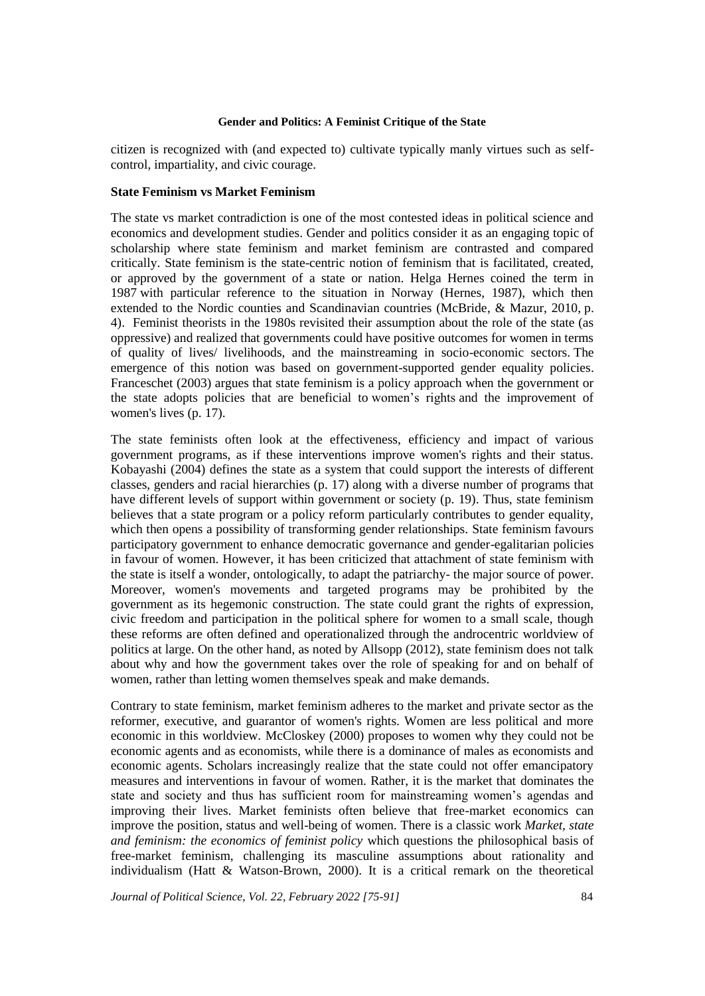citizen is recognized with (and expected to) cultivate typically manly virtues such as selfcontrol, impartiality, and civic courage.

# **State Feminism vs Market Feminism**

The state vs market contradiction is one of the most contested ideas in political science and economics and development studies. Gender and politics consider it as an engaging topic of scholarship where state feminism and market feminism are contrasted and compared critically. State feminism is the state-centric notion of feminism that is facilitated, created, or approved by the government of a state or nation. Helga Hernes coined the term in 1987 with particular reference to the situation in Norway (Hernes, 1987), which then extended to the Nordic counties and Scandinavian countries (McBride, & Mazur, 2010, p. 4). Feminist theorists in the 1980s revisited their assumption about the role of the state (as oppressive) and realized that governments could have positive outcomes for women in terms of quality of lives/ livelihoods, and the mainstreaming in socio-economic sectors. The emergence of this notion was based on government-supported gender equality policies. Franceschet (2003) argues that state feminism is a policy approach when the government or the state adopts policies that are beneficial to women's rights and the improvement of women's lives (p. 17).

The state feminists often look at the effectiveness, efficiency and impact of various government programs, as if these interventions improve women's rights and their status. Kobayashi (2004) defines the state as a system that could support the interests of different classes, genders and racial hierarchies (p. 17) along with a diverse number of programs that have different levels of support within government or society (p. 19). Thus, state feminism believes that a state program or a policy reform particularly contributes to gender equality, which then opens a possibility of transforming gender relationships. State feminism favours participatory government to enhance democratic governance and gender-egalitarian policies in favour of women. However, it has been criticized that attachment of state feminism with the state is itself a wonder, ontologically, to adapt the patriarchy- the major source of power. Moreover, women's movements and targeted programs may be prohibited by the government as its hegemonic construction. The state could grant the rights of expression, civic freedom and participation in the political sphere for women to a small scale, though these reforms are often defined and operationalized through the androcentric worldview of politics at large. On the other hand, as noted by Allsopp (2012), state feminism does not talk about why and how the government takes over the role of speaking for and on behalf of women, rather than letting women themselves speak and make demands.

Contrary to state feminism, market feminism adheres to the market and private sector as the reformer, executive, and guarantor of women's rights. Women are less political and more economic in this worldview. McCloskey (2000) proposes to women why they could not be economic agents and as economists, while there is a dominance of males as economists and economic agents. Scholars increasingly realize that the state could not offer emancipatory measures and interventions in favour of women. Rather, it is the market that dominates the state and society and thus has sufficient room for mainstreaming women's agendas and improving their lives. Market feminists often believe that free-market economics can improve the position, status and well-being of women. There is a classic work *Market, state and feminism: the economics of feminist policy* which questions the philosophical basis of free-market feminism, challenging its masculine assumptions about rationality and individualism (Hatt & Watson-Brown, 2000). It is a critical remark on the theoretical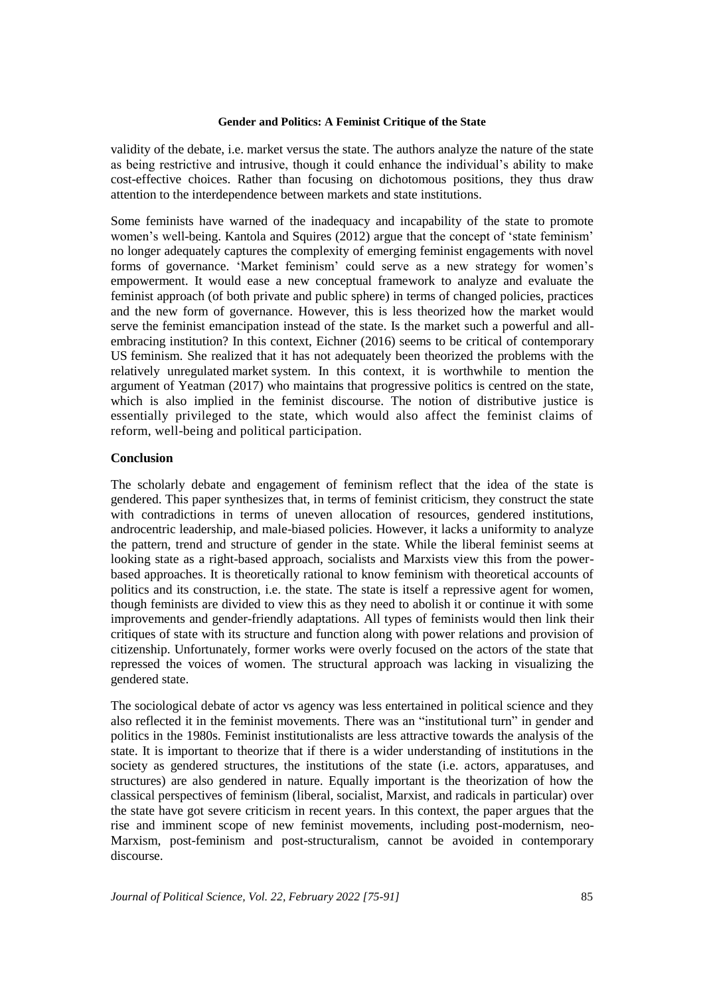validity of the debate, i.e. market versus the state. The authors analyze the nature of the state as being restrictive and intrusive, though it could enhance the individual's ability to make cost-effective choices. Rather than focusing on dichotomous positions, they thus draw attention to the interdependence between markets and state institutions.

Some feminists have warned of the inadequacy and incapability of the state to promote women's well-being. Kantola and Squires (2012) argue that the concept of 'state feminism' no longer adequately captures the complexity of emerging feminist engagements with novel forms of governance. 'Market feminism' could serve as a new strategy for women's empowerment. It would ease a new conceptual framework to analyze and evaluate the feminist approach (of both private and public sphere) in terms of changed policies, practices and the new form of governance. However, this is less theorized how the market would serve the feminist emancipation instead of the state. Is the market such a powerful and allembracing institution? In this context, Eichner (2016) seems to be critical of contemporary US feminism. She realized that it has not adequately been theorized the problems with the relatively unregulated market system. In this context, it is worthwhile to mention the argument of Yeatman (2017) who maintains that progressive politics is centred on the state, which is also implied in the feminist discourse. The notion of distributive justice is essentially privileged to the state, which would also affect the feminist claims of reform, well-being and political participation.

# **Conclusion**

The scholarly debate and engagement of feminism reflect that the idea of the state is gendered. This paper synthesizes that, in terms of feminist criticism, they construct the state with contradictions in terms of uneven allocation of resources, gendered institutions, androcentric leadership, and male-biased policies. However, it lacks a uniformity to analyze the pattern, trend and structure of gender in the state. While the liberal feminist seems at looking state as a right-based approach, socialists and Marxists view this from the powerbased approaches. It is theoretically rational to know feminism with theoretical accounts of politics and its construction, i.e. the state. The state is itself a repressive agent for women, though feminists are divided to view this as they need to abolish it or continue it with some improvements and gender-friendly adaptations. All types of feminists would then link their critiques of state with its structure and function along with power relations and provision of citizenship. Unfortunately, former works were overly focused on the actors of the state that repressed the voices of women. The structural approach was lacking in visualizing the gendered state.

The sociological debate of actor vs agency was less entertained in political science and they also reflected it in the feminist movements. There was an "institutional turn" in gender and politics in the 1980s. Feminist institutionalists are less attractive towards the analysis of the state. It is important to theorize that if there is a wider understanding of institutions in the society as gendered structures, the institutions of the state (i.e. actors, apparatuses, and structures) are also gendered in nature. Equally important is the theorization of how the classical perspectives of feminism (liberal, socialist, Marxist, and radicals in particular) over the state have got severe criticism in recent years. In this context, the paper argues that the rise and imminent scope of new feminist movements, including post-modernism, neo-Marxism, post-feminism and post-structuralism, cannot be avoided in contemporary discourse.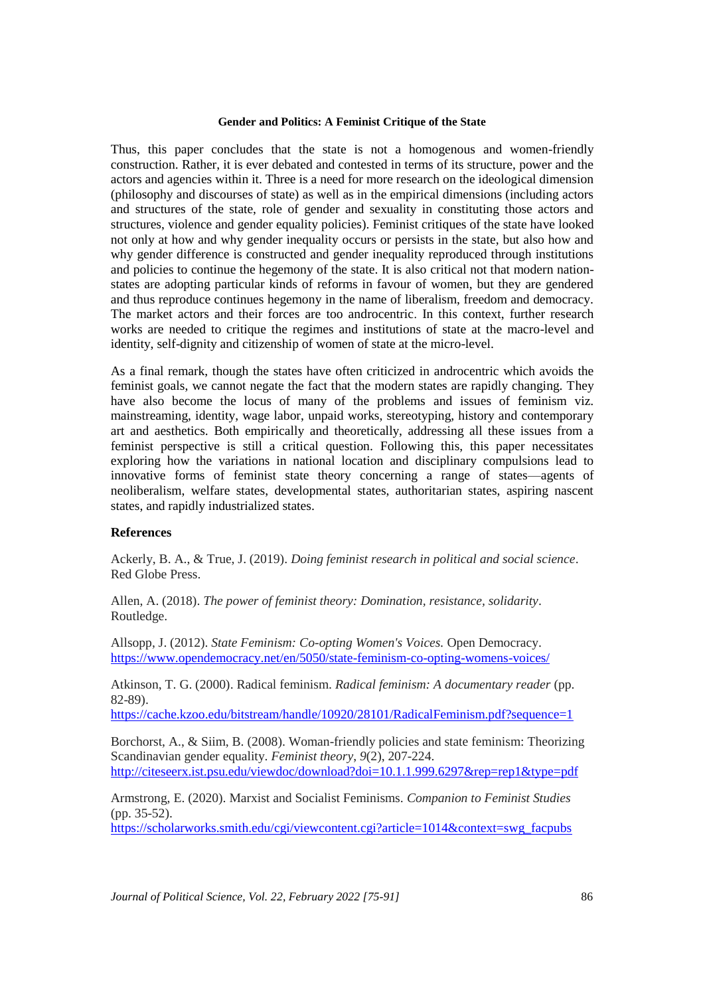Thus, this paper concludes that the state is not a homogenous and women-friendly construction. Rather, it is ever debated and contested in terms of its structure, power and the actors and agencies within it. Three is a need for more research on the ideological dimension (philosophy and discourses of state) as well as in the empirical dimensions (including actors and structures of the state, role of gender and sexuality in constituting those actors and structures, violence and gender equality policies). Feminist critiques of the state have looked not only at how and why gender inequality occurs or persists in the state, but also how and why gender difference is constructed and gender inequality reproduced through institutions and policies to continue the hegemony of the state. It is also critical not that modern nationstates are adopting particular kinds of reforms in favour of women, but they are gendered and thus reproduce continues hegemony in the name of liberalism, freedom and democracy. The market actors and their forces are too androcentric. In this context, further research works are needed to critique the regimes and institutions of state at the macro-level and identity, self-dignity and citizenship of women of state at the micro-level.

As a final remark, though the states have often criticized in androcentric which avoids the feminist goals, we cannot negate the fact that the modern states are rapidly changing. They have also become the locus of many of the problems and issues of feminism viz. mainstreaming, identity, wage labor, unpaid works, stereotyping, history and contemporary art and aesthetics. Both empirically and theoretically, addressing all these issues from a feminist perspective is still a critical question. Following this, this paper necessitates exploring how the variations in national location and disciplinary compulsions lead to innovative forms of feminist state theory concerning a range of states—agents of neoliberalism, welfare states, developmental states, authoritarian states, aspiring nascent states, and rapidly industrialized states.

# **References**

Ackerly, B. A., & True, J. (2019). *Doing feminist research in political and social science*. Red Globe Press.

Allen, A. (2018). *The power of feminist theory: Domination, resistance, solidarity*. Routledge.

Allsopp, J. (2012). *State Feminism: Co-opting Women's Voices.* Open Democracy. <https://www.opendemocracy.net/en/5050/state-feminism-co-opting-womens-voices/>

Atkinson, T. G. (2000). Radical feminism. *Radical feminism: A documentary reader* (pp. 82-89).

<https://cache.kzoo.edu/bitstream/handle/10920/28101/RadicalFeminism.pdf?sequence=1>

Borchorst, A., & Siim, B. (2008). Woman-friendly policies and state feminism: Theorizing Scandinavian gender equality. *Feminist theory*, *9*(2), 207-224. <http://citeseerx.ist.psu.edu/viewdoc/download?doi=10.1.1.999.6297&rep=rep1&type=pdf>

Armstrong, E. (2020). Marxist and Socialist Feminisms. *Companion to Feminist Studies* (pp. 35-52).

[https://scholarworks.smith.edu/cgi/viewcontent.cgi?article=1014&context=swg\\_facpubs](https://scholarworks.smith.edu/cgi/viewcontent.cgi?article=1014&context=swg_facpubs)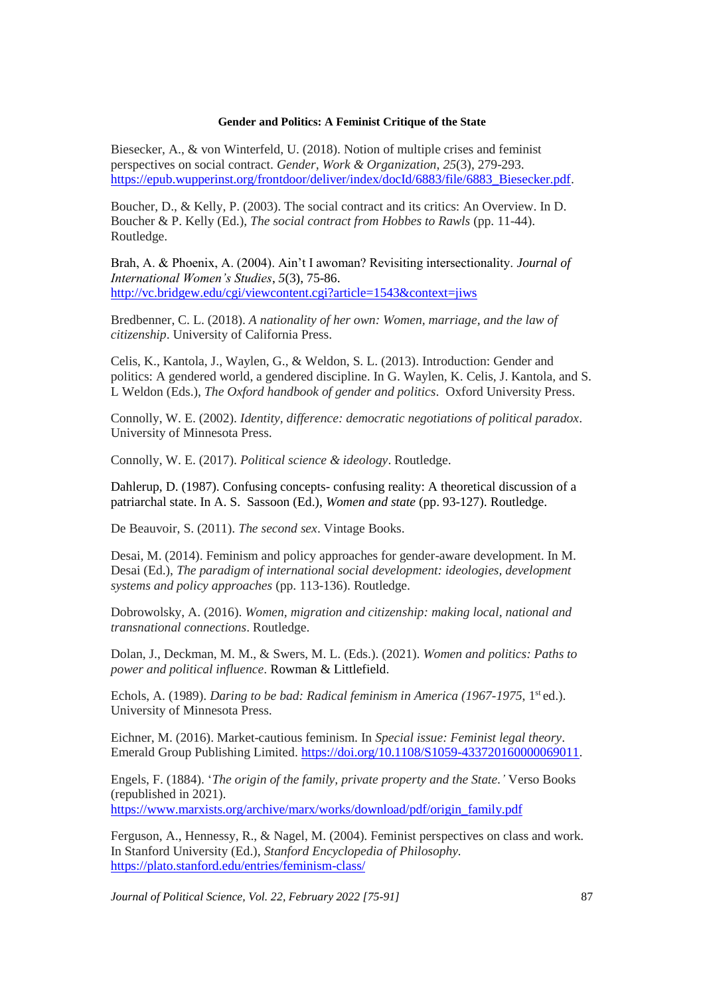Biesecker, A., & von Winterfeld, U. (2018). Notion of multiple crises and feminist perspectives on social contract. *Gender, Work & Organization*, *25*(3), 279-293. [https://epub.wupperinst.org/frontdoor/deliver/index/docId/6883/file/6883\\_Biesecker.pdf.](https://epub.wupperinst.org/frontdoor/deliver/index/docId/6883/file/6883_Biesecker.pdf)

Boucher, D., & Kelly, P. (2003). The social contract and its critics: An Overview. In D. Boucher & P. Kelly (Ed.), *The social contract from Hobbes to Rawls* (pp. 11-44). Routledge.

Brah, A. & Phoenix, A. (2004). Ain't I awoman? Revisiting intersectionality. *Journal of International Women's Studies*, *5*(3), 75-86. <http://vc.bridgew.edu/cgi/viewcontent.cgi?article=1543&context=jiws>

Bredbenner, C. L. (2018). *A nationality of her own: Women, marriage, and the law of citizenship*. University of California Press.

Celis, K., Kantola, J., Waylen, G., & Weldon, S. L. (2013). Introduction: Gender and politics: A gendered world, a gendered discipline. In G. Waylen, K. Celis, J. Kantola, and S. L Weldon (Eds.), *The Oxford handbook of gender and politics*. Oxford University Press.

Connolly, W. E. (2002). *Identity, difference: democratic negotiations of political paradox*. University of Minnesota Press.

Connolly, W. E. (2017). *Political science & ideology*. Routledge.

Dahlerup, D. (1987). Confusing concepts- confusing reality: A theoretical discussion of a patriarchal state. In A. S. Sassoon (Ed.), *Women and state* (pp. 93-127). Routledge.

De Beauvoir, S. (2011). *The second sex*. Vintage Books.

Desai, M. (2014). Feminism and policy approaches for gender-aware development. In M. Desai (Ed.), *The paradigm of international social development: ideologies, development systems and policy approaches* (pp. 113-136). Routledge.

Dobrowolsky, A. (2016). *Women, migration and citizenship: making local, national and transnational connections*. Routledge.

Dolan, J., Deckman, M. M., & Swers, M. L. (Eds.). (2021). *Women and politics: Paths to power and political influence*. Rowman & Littlefield.

Echols, A. (1989). *Daring to be bad: Radical feminism in America (1967-1975*, 1<sup>st</sup> ed.). University of Minnesota Press.

Eichner, M. (2016). Market-cautious feminism. In *Special issue: Feminist legal theory*. Emerald Group Publishing Limited. [https://doi.org/10.1108/S1059-433720160000069011.](https://doi.org/10.1108/S1059-433720160000069011)

Engels, F. (1884). '*The origin of the family, private property and the State.'* Verso Books (republished in 2021). [https://www.marxists.org/archive/marx/works/download/pdf/origin\\_family.pdf](https://www.marxists.org/archive/marx/works/download/pdf/origin_family.pdf)

Ferguson, A., Hennessy, R., & Nagel, M. (2004). Feminist perspectives on class and work. In Stanford University (Ed.), *Stanford Encyclopedia of Philosophy.*  <https://plato.stanford.edu/entries/feminism-class/>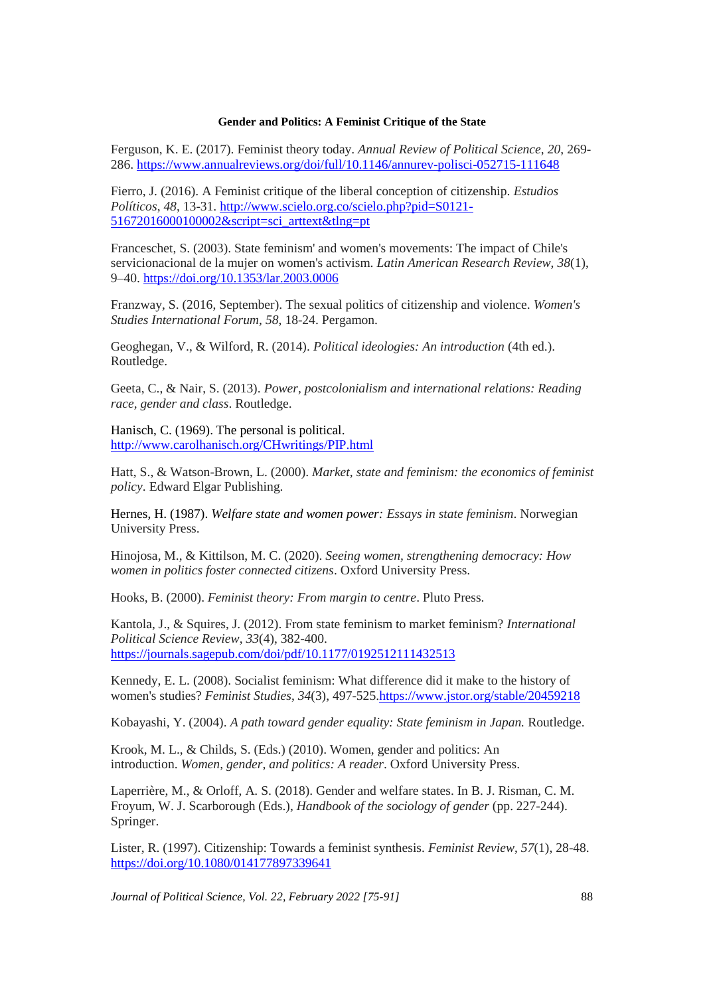Ferguson, K. E. (2017). Feminist theory today. *Annual Review of Political Science*, *20*, 269- 286.<https://www.annualreviews.org/doi/full/10.1146/annurev-polisci-052715-111648>

Fierro, J. (2016). A Feminist critique of the liberal conception of citizenship. *Estudios Políticos*, *48*, 13-31. [http://www.scielo.org.co/scielo.php?pid=S0121-](http://www.scielo.org.co/scielo.php?pid=S0121-51672016000100002&script=sci_arttext&tlng=pt) [51672016000100002&script=sci\\_arttext&tlng=pt](http://www.scielo.org.co/scielo.php?pid=S0121-51672016000100002&script=sci_arttext&tlng=pt)

Franceschet, S. (2003). State feminism' and women's movements: The impact of Chile's servicionacional de la mujer on women's activism. *Latin American Research Review*, *38*(1), 9–40.<https://doi.org/10.1353/lar.2003.0006>

Franzway, S. (2016, September). The sexual politics of citizenship and violence. *Women's Studies International Forum, 58*, 18-24. Pergamon.

Geoghegan, V., & Wilford, R. (2014). *Political ideologies: An introduction* (4th ed.). Routledge.

Geeta, C., & Nair, S. (2013). *Power, postcolonialism and international relations: Reading race, gender and class*. Routledge.

Hanisch, C. (1969). The personal is political. <http://www.carolhanisch.org/CHwritings/PIP.html>

Hatt, S., & Watson-Brown, L. (2000). *Market, state and feminism: the economics of feminist policy*. Edward Elgar Publishing.

Hernes, H. (1987). *Welfare state and women power: Essays in state feminism*. Norwegian University Press.

Hinojosa, M., & Kittilson, M. C. (2020). *Seeing women, strengthening democracy: How women in politics foster connected citizens*. Oxford University Press.

Hooks, B. (2000). *Feminist theory: From margin to centre*. Pluto Press.

Kantola, J., & Squires, J. (2012). From state feminism to market feminism? *International Political Science Review*, *33*(4), 382-400. <https://journals.sagepub.com/doi/pdf/10.1177/0192512111432513>

Kennedy, E. L. (2008). Socialist feminism: What difference did it make to the history of women's studies? *Feminist Studies*, *34*(3), 497-525[.https://www.jstor.org/stable/20459218](https://www.jstor.org/stable/20459218)

Kobayashi, Y. (2004). *A path toward gender equality: State feminism in Japan.* Routledge.

Krook, M. L., & Childs, S. (Eds.) (2010). Women, gender and politics: An introduction. *Women, gender, and politics: A reader*. Oxford University Press.

Laperrière, M., & Orloff, A. S. (2018). Gender and welfare states. In B. J. Risman, C. M. Froyum, W. J. Scarborough (Eds.), *Handbook of the sociology of gender* (pp. 227-244). Springer.

Lister, R. (1997). Citizenship: Towards a feminist synthesis. *Feminist Review*, *57*(1), 28-48. <https://doi.org/10.1080/014177897339641>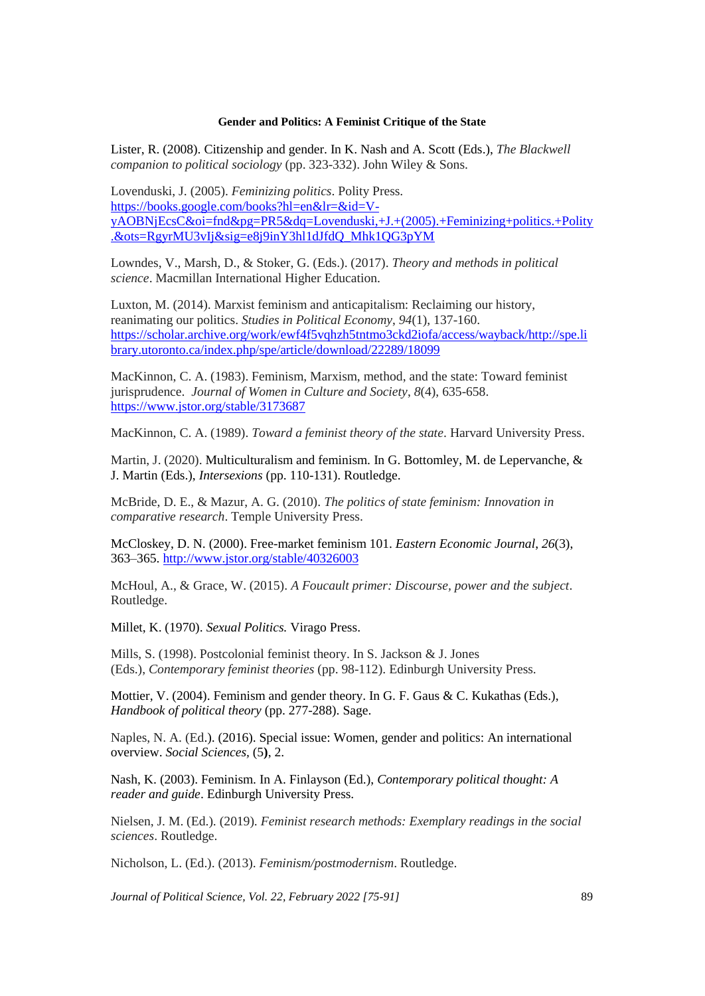Lister, R. (2008). Citizenship and gender. In K. Nash and A. Scott (Eds.), *The Blackwell companion to political sociology* (pp. 323-332). John Wiley & Sons.

Lovenduski, J. (2005). *Feminizing politics*. Polity Press. [https://books.google.com/books?hl=en&lr=&id=V](https://books.google.com/books?hl=en&lr=&id=V-yAOBNjEcsC&oi=fnd&pg=PR5&dq=Lovenduski,+J.+(2005).+Feminizing+politics.+Polity.&ots=RgyrMU3vIj&sig=e8j9inY3hl1dJfdQ_Mhk1QG3pYM)[yAOBNjEcsC&oi=fnd&pg=PR5&dq=Lovenduski,+J.+\(2005\).+Feminizing+politics.+Polity](https://books.google.com/books?hl=en&lr=&id=V-yAOBNjEcsC&oi=fnd&pg=PR5&dq=Lovenduski,+J.+(2005).+Feminizing+politics.+Polity.&ots=RgyrMU3vIj&sig=e8j9inY3hl1dJfdQ_Mhk1QG3pYM) [.&ots=RgyrMU3vIj&sig=e8j9inY3hl1dJfdQ\\_Mhk1QG3pYM](https://books.google.com/books?hl=en&lr=&id=V-yAOBNjEcsC&oi=fnd&pg=PR5&dq=Lovenduski,+J.+(2005).+Feminizing+politics.+Polity.&ots=RgyrMU3vIj&sig=e8j9inY3hl1dJfdQ_Mhk1QG3pYM)

Lowndes, V., Marsh, D., & Stoker, G. (Eds.). (2017). *Theory and methods in political science*. Macmillan International Higher Education.

Luxton, M. (2014). Marxist feminism and anticapitalism: Reclaiming our history, reanimating our politics. *Studies in Political Economy*, *94*(1), 137-160. [https://scholar.archive.org/work/ewf4f5vqhzh5tntmo3ckd2iofa/access/wayback/http://spe.li](https://scholar.archive.org/work/ewf4f5vqhzh5tntmo3ckd2iofa/access/wayback/http:/spe.library.utoronto.ca/index.php/spe/article/download/22289/18099) [brary.utoronto.ca/index.php/spe/article/download/22289/18099](https://scholar.archive.org/work/ewf4f5vqhzh5tntmo3ckd2iofa/access/wayback/http:/spe.library.utoronto.ca/index.php/spe/article/download/22289/18099)

MacKinnon, C. A. (1983). Feminism, Marxism, method, and the state: Toward feminist jurisprudence. *Journal of Women in Culture and Society*, *8*(4), 635-658. <https://www.jstor.org/stable/3173687>

MacKinnon, C. A. (1989). *Toward a feminist theory of the state*. Harvard University Press.

Martin, J. (2020). Multiculturalism and feminism. In G. Bottomley, M. de Lepervanche, & J. Martin (Eds.), *Intersexions* (pp. 110-131). Routledge.

McBride, D. E., & Mazur, A. G. (2010). *The politics of state feminism: Innovation in comparative research*. Temple University Press.

McCloskey, D. N. (2000). Free-market feminism 101. *Eastern Economic Journal*, *26*(3), 363–365[. http://www.jstor.org/stable/40326003](http://www.jstor.org/stable/40326003)

McHoul, A., & Grace, W. (2015). *A Foucault primer: Discourse, power and the subject*. Routledge.

Millet, K. (1970). *Sexual Politics.* Virago Press.

Mills, S. (1998). Postcolonial feminist theory. In S. Jackson & J. Jones (Eds.), *Contemporary feminist theories* (pp. 98-112). Edinburgh University Press.

Mottier, V. (2004). Feminism and gender theory. In G. F. Gaus & C. Kukathas (Eds.), *Handbook of political theory* (pp. 277-288). Sage.

Naples, N. A. (Ed.). (2016). Special issue: Women, gender and politics: An international overview. *Social Sciences,* (5**)**, 2.

Nash, K. (2003). Feminism. In A. Finlayson (Ed.), *Contemporary political thought: A reader and guide*. Edinburgh University Press.

Nielsen, J. M. (Ed.). (2019). *Feminist research methods: Exemplary readings in the social sciences*. Routledge.

Nicholson, L. (Ed.). (2013). *Feminism/postmodernism*. Routledge.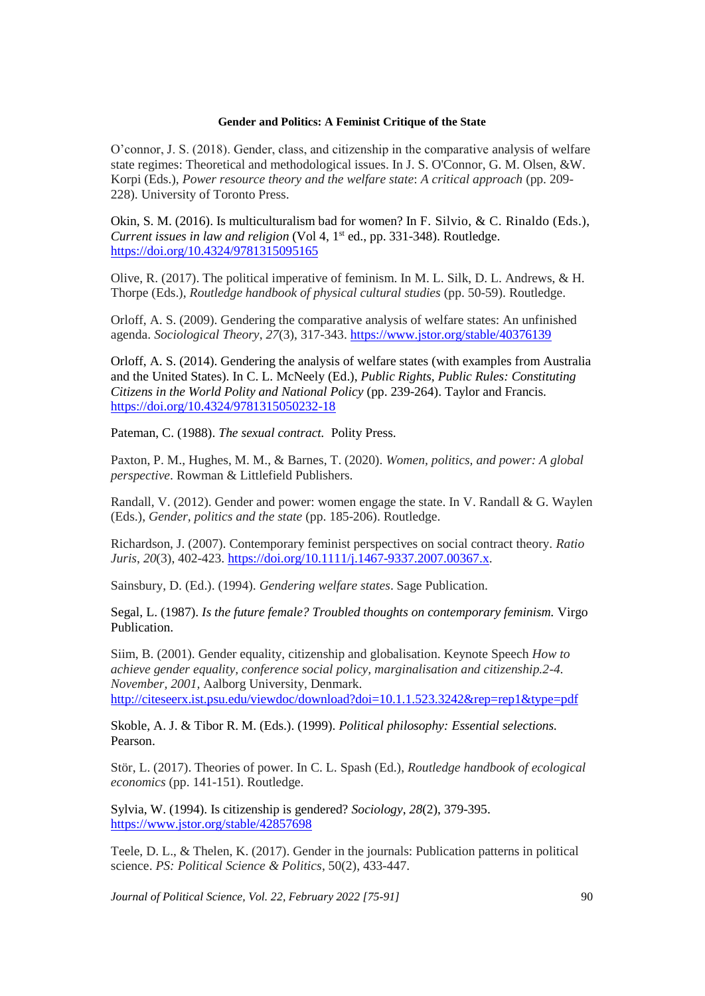O'connor, J. S. (2018). Gender, class, and citizenship in the comparative analysis of welfare state regimes: Theoretical and methodological issues. In J. S. O'Connor, G. M. Olsen, &W. Korpi (Eds.), *Power resource theory and the welfare state*: *A critical approach* (pp. 209- 228). University of Toronto Press.

Okin, S. M. (2016). Is multiculturalism bad for women? In F. Silvio, & C. Rinaldo (Eds.), *Current issues in law and religion* (Vol 4, 1<sup>st</sup> ed., pp. 331-348). Routledge. <https://doi.org/10.4324/9781315095165>

Olive, R. (2017). The political imperative of feminism. In M. L. Silk, D. L. Andrews, & H. Thorpe (Eds.), *Routledge handbook of physical cultural studies* (pp. 50-59). Routledge.

Orloff, A. S. (2009). Gendering the comparative analysis of welfare states: An unfinished agenda. *Sociological Theory*, *27*(3), 317-343. <https://www.jstor.org/stable/40376139>

Orloff, A. S. (2014). Gendering the analysis of welfare states (with examples from Australia and the United States). In C. L. McNeely (Ed.), *Public Rights, Public Rules: Constituting Citizens in the World Polity and National Policy* (pp. 239-264). Taylor and Francis. <https://doi.org/10.4324/9781315050232-18>

Pateman, C. (1988). *The sexual contract.* Polity Press.

Paxton, P. M., Hughes, M. M., & Barnes, T. (2020). *Women, politics, and power: A global perspective*. Rowman & Littlefield Publishers.

Randall, V. (2012). Gender and power: women engage the state. In V. Randall & G. Waylen (Eds.), *Gender, politics and the state* (pp. 185-206). Routledge.

Richardson, J. (2007). Contemporary feminist perspectives on social contract theory. *Ratio Juris*, *20*(3), 402-423. [https://doi.org/10.1111/j.1467-9337.2007.00367.x.](https://doi.org/10.1111/j.1467-9337.2007.00367.x)

Sainsbury, D. (Ed.). (1994). *Gendering welfare states*. Sage Publication.

Segal, L. (1987). *Is the future female? Troubled thoughts on contemporary feminism.* Virgo Publication.

Siim, B. (2001). Gender equality, citizenship and globalisation. Keynote Speech *How to achieve gender equality, conference social policy, marginalisation and citizenship.2-4. November, 2001,* Aalborg University, Denmark. <http://citeseerx.ist.psu.edu/viewdoc/download?doi=10.1.1.523.3242&rep=rep1&type=pdf>

Skoble, A. J. & Tibor R. M. (Eds.). (1999). *Political philosophy: Essential selections.* Pearson.

Stör, L. (2017). Theories of power. In C. L. Spash (Ed.), *Routledge handbook of ecological economics* (pp. 141-151). Routledge.

Sylvia, W. (1994). Is citizenship is gendered? *Sociology*, *28*(2), 379-395. <https://www.jstor.org/stable/42857698>

Teele, D. L., & Thelen, K. (2017). Gender in the journals: Publication patterns in political science. *PS: Political Science & Politics*, 50(2), 433-447.